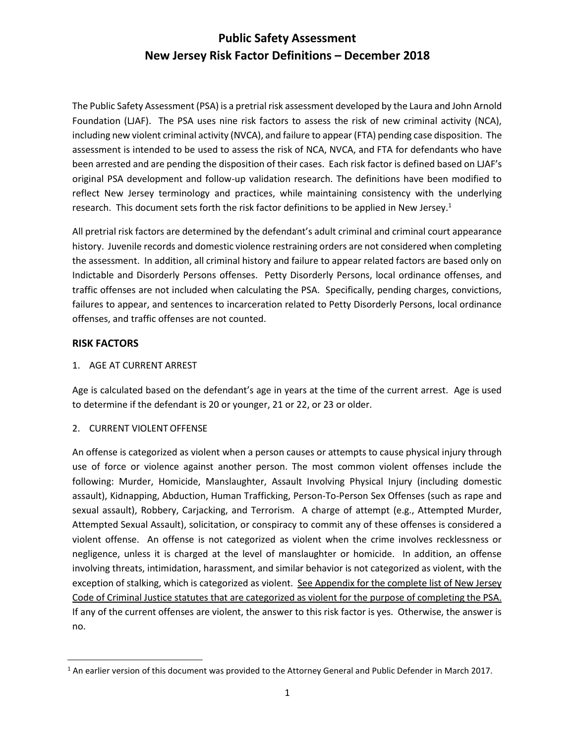The Public Safety Assessment (PSA) is a pretrial risk assessment developed by the Laura and John Arnold Foundation (LJAF). The PSA uses nine risk factors to assess the risk of new criminal activity (NCA), including new violent criminal activity (NVCA), and failure to appear (FTA) pending case disposition. The assessment is intended to be used to assess the risk of NCA, NVCA, and FTA for defendants who have been arrested and are pending the disposition of their cases. Each risk factor is defined based on LJAF's original PSA development and follow-up validation research. The definitions have been modified to reflect New Jersey terminology and practices, while maintaining consistency with the underlying research. This document sets forth the risk factor definitions to be applied in New Jersey.<sup>1</sup>

All pretrial risk factors are determined by the defendant's adult criminal and criminal court appearance history. Juvenile records and domestic violence restraining orders are not considered when completing the assessment. In addition, all criminal history and failure to appear related factors are based only on Indictable and Disorderly Persons offenses. Petty Disorderly Persons, local ordinance offenses, and traffic offenses are not included when calculating the PSA. Specifically, pending charges, convictions, failures to appear, and sentences to incarceration related to Petty Disorderly Persons, local ordinance offenses, and traffic offenses are not counted.

#### **RISK FACTORS**

 $\overline{\phantom{a}}$ 

#### 1. AGE AT CURRENT ARREST

Age is calculated based on the defendant's age in years at the time of the current arrest. Age is used to determine if the defendant is 20 or younger, 21 or 22, or 23 or older.

#### 2. CURRENT VIOLENTOFFENSE

An offense is categorized as violent when a person causes or attempts to cause physical injury through use of force or violence against another person. The most common violent offenses include the following: Murder, Homicide, Manslaughter, Assault Involving Physical Injury (including domestic assault), Kidnapping, Abduction, Human Trafficking, Person-To-Person Sex Offenses (such as rape and sexual assault), Robbery, Carjacking, and Terrorism. A charge of attempt (e.g., Attempted Murder, Attempted Sexual Assault), solicitation, or conspiracy to commit any of these offenses is considered a violent offense. An offense is not categorized as violent when the crime involves recklessness or negligence, unless it is charged at the level of manslaughter or homicide. In addition, an offense involving threats, intimidation, harassment, and similar behavior is not categorized as violent, with the exception of stalking, which is categorized as violent. See Appendix for the complete list of New Jersey Code of Criminal Justice statutes that are categorized as violent for the purpose of completing the PSA. If any of the current offenses are violent, the answer to this risk factor is yes. Otherwise, the answer is no.

<sup>1</sup> An earlier version of this document was provided to the Attorney General and Public Defender in March 2017.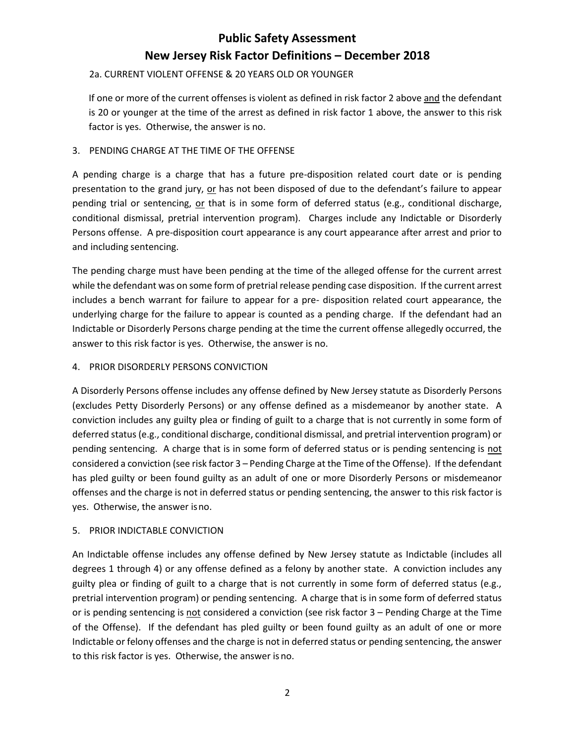#### 2a. CURRENT VIOLENT OFFENSE & 20 YEARS OLD OR YOUNGER

If one or more of the current offenses is violent as defined in risk factor 2 above and the defendant is 20 or younger at the time of the arrest as defined in risk factor 1 above, the answer to this risk factor is yes. Otherwise, the answer is no.

#### 3. PENDING CHARGE AT THE TIME OF THE OFFENSE

A pending charge is a charge that has a future pre-disposition related court date or is pending presentation to the grand jury, or has not been disposed of due to the defendant's failure to appear pending trial or sentencing, or that is in some form of deferred status (e.g., conditional discharge, conditional dismissal, pretrial intervention program). Charges include any Indictable or Disorderly Persons offense. A pre-disposition court appearance is any court appearance after arrest and prior to and including sentencing.

The pending charge must have been pending at the time of the alleged offense for the current arrest while the defendant was on some form of pretrial release pending case disposition. If the current arrest includes a bench warrant for failure to appear for a pre- disposition related court appearance, the underlying charge for the failure to appear is counted as a pending charge. If the defendant had an Indictable or Disorderly Persons charge pending at the time the current offense allegedly occurred, the answer to this risk factor is yes. Otherwise, the answer is no.

#### 4. PRIOR DISORDERLY PERSONS CONVICTION

A Disorderly Persons offense includes any offense defined by New Jersey statute as Disorderly Persons (excludes Petty Disorderly Persons) or any offense defined as a misdemeanor by another state. A conviction includes any guilty plea or finding of guilt to a charge that is not currently in some form of deferred status (e.g., conditional discharge, conditional dismissal, and pretrial intervention program) or pending sentencing. A charge that is in some form of deferred status or is pending sentencing is not considered a conviction (see risk factor 3 – Pending Charge at the Time of the Offense). If the defendant has pled guilty or been found guilty as an adult of one or more Disorderly Persons or misdemeanor offenses and the charge is not in deferred status or pending sentencing, the answer to this risk factor is yes. Otherwise, the answer isno.

#### 5. PRIOR INDICTABLE CONVICTION

An Indictable offense includes any offense defined by New Jersey statute as Indictable (includes all degrees 1 through 4) or any offense defined as a felony by another state. A conviction includes any guilty plea or finding of guilt to a charge that is not currently in some form of deferred status (e.g., pretrial intervention program) or pending sentencing. A charge that is in some form of deferred status or is pending sentencing is not considered a conviction (see risk factor 3 – Pending Charge at the Time of the Offense). If the defendant has pled guilty or been found guilty as an adult of one or more Indictable or felony offenses and the charge is not in deferred status or pending sentencing, the answer to this risk factor is yes. Otherwise, the answer is no.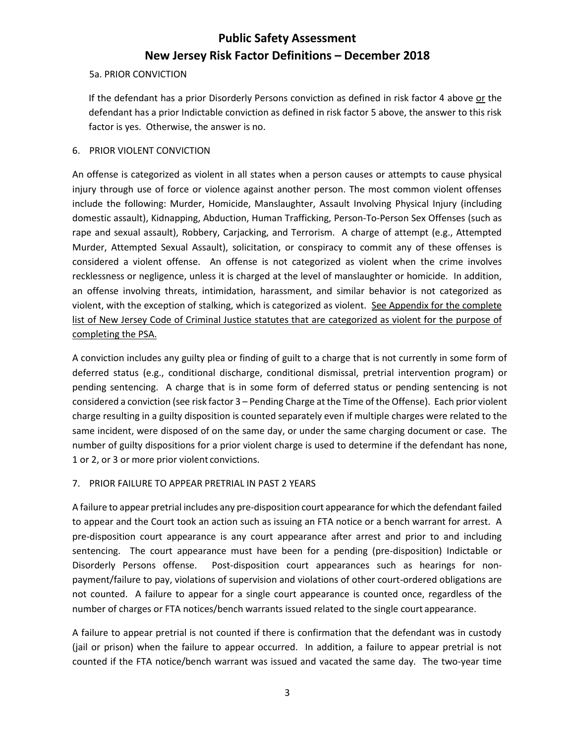#### 5a. PRIOR CONVICTION

If the defendant has a prior Disorderly Persons conviction as defined in risk factor 4 above or the defendant has a prior Indictable conviction as defined in risk factor 5 above, the answer to this risk factor is yes. Otherwise, the answer is no.

#### 6. PRIOR VIOLENT CONVICTION

An offense is categorized as violent in all states when a person causes or attempts to cause physical injury through use of force or violence against another person. The most common violent offenses include the following: Murder, Homicide, Manslaughter, Assault Involving Physical Injury (including domestic assault), Kidnapping, Abduction, Human Trafficking, Person-To-Person Sex Offenses (such as rape and sexual assault), Robbery, Carjacking, and Terrorism. A charge of attempt (e.g., Attempted Murder, Attempted Sexual Assault), solicitation, or conspiracy to commit any of these offenses is considered a violent offense. An offense is not categorized as violent when the crime involves recklessness or negligence, unless it is charged at the level of manslaughter or homicide. In addition, an offense involving threats, intimidation, harassment, and similar behavior is not categorized as violent, with the exception of stalking, which is categorized as violent. See Appendix for the complete list of New Jersey Code of Criminal Justice statutes that are categorized as violent for the purpose of completing the PSA.

A conviction includes any guilty plea or finding of guilt to a charge that is not currently in some form of deferred status (e.g., conditional discharge, conditional dismissal, pretrial intervention program) or pending sentencing. A charge that is in some form of deferred status or pending sentencing is not considered a conviction (see risk factor 3 – Pending Charge at the Time of the Offense). Each prior violent charge resulting in a guilty disposition is counted separately even if multiple charges were related to the same incident, were disposed of on the same day, or under the same charging document or case. The number of guilty dispositions for a prior violent charge is used to determine if the defendant has none, 1 or 2, or 3 or more prior violent convictions.

#### 7. PRIOR FAILURE TO APPEAR PRETRIAL IN PAST 2 YEARS

A failure to appear pretrial includes any pre-disposition court appearance for which the defendant failed to appear and the Court took an action such as issuing an FTA notice or a bench warrant for arrest. A pre-disposition court appearance is any court appearance after arrest and prior to and including sentencing. The court appearance must have been for a pending (pre-disposition) Indictable or Disorderly Persons offense. Post-disposition court appearances such as hearings for nonpayment/failure to pay, violations of supervision and violations of other court-ordered obligations are not counted. A failure to appear for a single court appearance is counted once, regardless of the number of charges or FTA notices/bench warrants issued related to the single court appearance.

A failure to appear pretrial is not counted if there is confirmation that the defendant was in custody (jail or prison) when the failure to appear occurred. In addition, a failure to appear pretrial is not counted if the FTA notice/bench warrant was issued and vacated the same day. The two-year time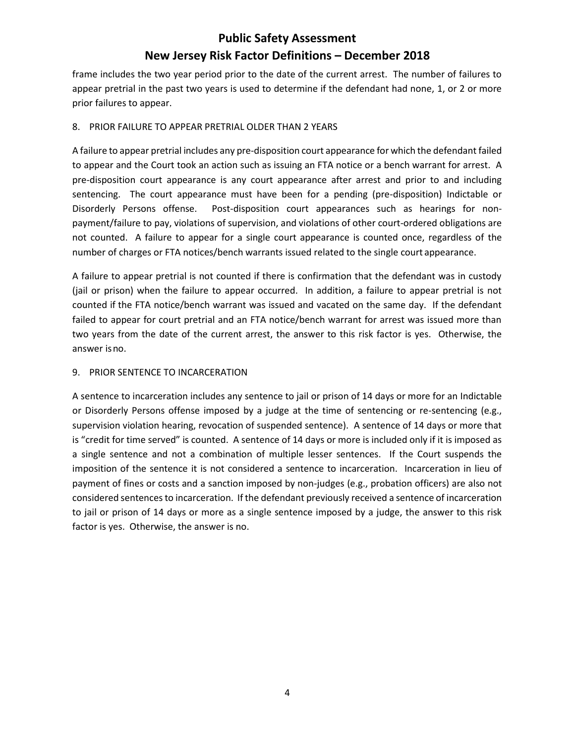frame includes the two year period prior to the date of the current arrest. The number of failures to appear pretrial in the past two years is used to determine if the defendant had none, 1, or 2 or more prior failures to appear.

#### 8. PRIOR FAILURE TO APPEAR PRETRIAL OLDER THAN 2 YEARS

A failure to appear pretrial includes any pre-disposition court appearance for which the defendant failed to appear and the Court took an action such as issuing an FTA notice or a bench warrant for arrest. A pre-disposition court appearance is any court appearance after arrest and prior to and including sentencing. The court appearance must have been for a pending (pre-disposition) Indictable or Disorderly Persons offense. Post-disposition court appearances such as hearings for nonpayment/failure to pay, violations of supervision, and violations of other court-ordered obligations are not counted. A failure to appear for a single court appearance is counted once, regardless of the number of charges or FTA notices/bench warrants issued related to the single court appearance.

A failure to appear pretrial is not counted if there is confirmation that the defendant was in custody (jail or prison) when the failure to appear occurred. In addition, a failure to appear pretrial is not counted if the FTA notice/bench warrant was issued and vacated on the same day. If the defendant failed to appear for court pretrial and an FTA notice/bench warrant for arrest was issued more than two years from the date of the current arrest, the answer to this risk factor is yes. Otherwise, the answer isno.

#### 9. PRIOR SENTENCE TO INCARCERATION

A sentence to incarceration includes any sentence to jail or prison of 14 days or more for an Indictable or Disorderly Persons offense imposed by a judge at the time of sentencing or re-sentencing (e.g., supervision violation hearing, revocation of suspended sentence). A sentence of 14 days or more that is "credit for time served" is counted. A sentence of 14 days or more is included only if it is imposed as a single sentence and not a combination of multiple lesser sentences. If the Court suspends the imposition of the sentence it is not considered a sentence to incarceration. Incarceration in lieu of payment of fines or costs and a sanction imposed by non-judges (e.g., probation officers) are also not considered sentences to incarceration. If the defendant previously received a sentence of incarceration to jail or prison of 14 days or more as a single sentence imposed by a judge, the answer to this risk factor is yes. Otherwise, the answer is no.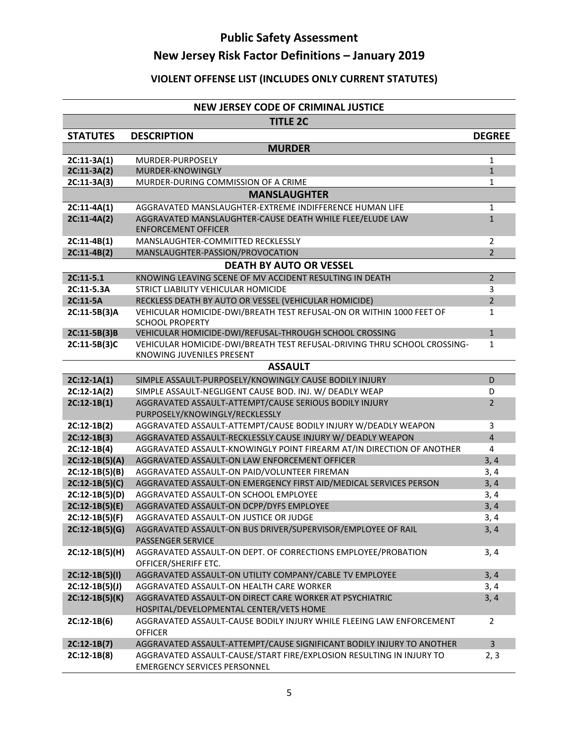### **VIOLENT OFFENSE LIST (INCLUDES ONLY CURRENT STATUTES)**

#### **[NEW JERSEY CODE OF CRIMINAL JUSTICE](http://www.njleg.state.nj.us/)**

|                                      | <b>TITLE 2C</b>                                                                                                                      |                                  |  |  |
|--------------------------------------|--------------------------------------------------------------------------------------------------------------------------------------|----------------------------------|--|--|
| <b>STATUTES</b>                      | <b>DESCRIPTION</b>                                                                                                                   | <b>DEGREE</b>                    |  |  |
| <b>MURDER</b>                        |                                                                                                                                      |                                  |  |  |
| $2C:11-3A(1)$                        | MURDER-PURPOSELY                                                                                                                     | $\mathbf{1}$                     |  |  |
| $2C:11-3A(2)$                        | MURDER-KNOWINGLY                                                                                                                     | $\mathbf{1}$                     |  |  |
| 2C:11-3A(3)                          | MURDER-DURING COMMISSION OF A CRIME                                                                                                  | 1                                |  |  |
|                                      | <b>MANSLAUGHTER</b>                                                                                                                  |                                  |  |  |
| $2C:11-4A(1)$                        | AGGRAVATED MANSLAUGHTER-EXTREME INDIFFERENCE HUMAN LIFE                                                                              | 1                                |  |  |
| $2C:11-4A(2)$                        | AGGRAVATED MANSLAUGHTER-CAUSE DEATH WHILE FLEE/ELUDE LAW                                                                             | $\mathbf{1}$                     |  |  |
|                                      | <b>ENFORCEMENT OFFICER</b>                                                                                                           |                                  |  |  |
| $2C:11-4B(1)$<br>$2C:11-4B(2)$       | MANSLAUGHTER-COMMITTED RECKLESSLY<br>MANSLAUGHTER-PASSION/PROVOCATION                                                                | $\overline{2}$<br>$\overline{2}$ |  |  |
|                                      | <b>DEATH BY AUTO OR VESSEL</b>                                                                                                       |                                  |  |  |
|                                      |                                                                                                                                      | $\overline{2}$                   |  |  |
| $2C:11-5.1$<br>2C:11-5.3A            | KNOWING LEAVING SCENE OF MV ACCIDENT RESULTING IN DEATH<br>STRICT LIABILITY VEHICULAR HOMICIDE                                       | 3                                |  |  |
| 2C:11-5A                             | RECKLESS DEATH BY AUTO OR VESSEL (VEHICULAR HOMICIDE)                                                                                | $\overline{2}$                   |  |  |
| 2C:11-5B(3)A                         | VEHICULAR HOMICIDE-DWI/BREATH TEST REFUSAL-ON OR WITHIN 1000 FEET OF                                                                 | $\mathbf{1}$                     |  |  |
|                                      | <b>SCHOOL PROPERTY</b>                                                                                                               |                                  |  |  |
| 2C:11-5B(3)B                         | VEHICULAR HOMICIDE-DWI/REFUSAL-THROUGH SCHOOL CROSSING                                                                               | $\mathbf{1}$                     |  |  |
| 2C:11-5B(3)C                         | VEHICULAR HOMICIDE-DWI/BREATH TEST REFUSAL-DRIVING THRU SCHOOL CROSSING-                                                             | $\mathbf{1}$                     |  |  |
|                                      | KNOWING JUVENILES PRESENT                                                                                                            |                                  |  |  |
|                                      | <b>ASSAULT</b>                                                                                                                       |                                  |  |  |
| $2C:12-1A(1)$                        | SIMPLE ASSAULT-PURPOSELY/KNOWINGLY CAUSE BODILY INJURY                                                                               | D                                |  |  |
| $2C:12-1A(2)$                        | SIMPLE ASSAULT-NEGLIGENT CAUSE BOD. INJ. W/ DEADLY WEAP                                                                              | D                                |  |  |
| $2C:12-1B(1)$                        | AGGRAVATED ASSAULT-ATTEMPT/CAUSE SERIOUS BODILY INJURY                                                                               | 2                                |  |  |
|                                      | PURPOSELY/KNOWINGLY/RECKLESSLY                                                                                                       |                                  |  |  |
| $2C:12-1B(2)$                        | AGGRAVATED ASSAULT-ATTEMPT/CAUSE BODILY INJURY W/DEADLY WEAPON                                                                       | 3<br>$\overline{4}$              |  |  |
| $2C:12-1B(3)$<br>$2C:12-1B(4)$       | AGGRAVATED ASSAULT-RECKLESSLY CAUSE INJURY W/ DEADLY WEAPON<br>AGGRAVATED ASSAULT-KNOWINGLY POINT FIREARM AT/IN DIRECTION OF ANOTHER | $\overline{4}$                   |  |  |
| $2C:12-1B(5)(A)$                     | AGGRAVATED ASSAULT-ON LAW ENFORCEMENT OFFICER                                                                                        | 3, 4                             |  |  |
| $2C:12-1B(5)(B)$                     | AGGRAVATED ASSAULT-ON PAID/VOLUNTEER FIREMAN                                                                                         | 3,4                              |  |  |
| $2C:12-1B(5)(C)$                     | AGGRAVATED ASSAULT-ON EMERGENCY FIRST AID/MEDICAL SERVICES PERSON                                                                    | 3, 4                             |  |  |
| $2C:12-1B(5)(D)$                     | AGGRAVATED ASSAULT-ON SCHOOL EMPLOYEE                                                                                                | 3, 4                             |  |  |
| $2C:12-1B(5)(E)$                     | AGGRAVATED ASSAULT-ON DCPP/DYFS EMPLOYEE                                                                                             | 3, 4                             |  |  |
| $2C:12-1B(5)(F)$                     | AGGRAVATED ASSAULT-ON JUSTICE OR JUDGE                                                                                               | 3,4                              |  |  |
| 2C:12-1B(5)(G)                       | AGGRAVATED ASSAULT-ON BUS DRIVER/SUPERVISOR/EMPLOYEE OF RAIL                                                                         | 3,4                              |  |  |
|                                      | PASSENGER SERVICE                                                                                                                    |                                  |  |  |
| $2C:12-1B(5)(H)$                     | AGGRAVATED ASSAULT-ON DEPT. OF CORRECTIONS EMPLOYEE/PROBATION                                                                        | 3, 4                             |  |  |
|                                      | OFFICER/SHERIFF ETC.                                                                                                                 |                                  |  |  |
| $2C:12-1B(5)(1)$<br>$2C:12-1B(5)(J)$ | AGGRAVATED ASSAULT-ON UTILITY COMPANY/CABLE TV EMPLOYEE<br>AGGRAVATED ASSAULT-ON HEALTH CARE WORKER                                  | 3, 4<br>3, 4                     |  |  |
| $2C:12-1B(5)(K)$                     | AGGRAVATED ASSAULT-ON DIRECT CARE WORKER AT PSYCHIATRIC                                                                              | 3, 4                             |  |  |
|                                      | HOSPITAL/DEVELOPMENTAL CENTER/VETS HOME                                                                                              |                                  |  |  |
| $2C:12-1B(6)$                        | AGGRAVATED ASSAULT-CAUSE BODILY INJURY WHILE FLEEING LAW ENFORCEMENT                                                                 | 2                                |  |  |
|                                      | <b>OFFICER</b>                                                                                                                       |                                  |  |  |
| $2C:12-1B(7)$                        | AGGRAVATED ASSAULT-ATTEMPT/CAUSE SIGNIFICANT BODILY INJURY TO ANOTHER                                                                | $\mathbf{3}$                     |  |  |
| $2C:12-1B(8)$                        | AGGRAVATED ASSAULT-CAUSE/START FIRE/EXPLOSION RESULTING IN INJURY TO                                                                 | 2, 3                             |  |  |
|                                      | <b>EMERGENCY SERVICES PERSONNEL</b>                                                                                                  |                                  |  |  |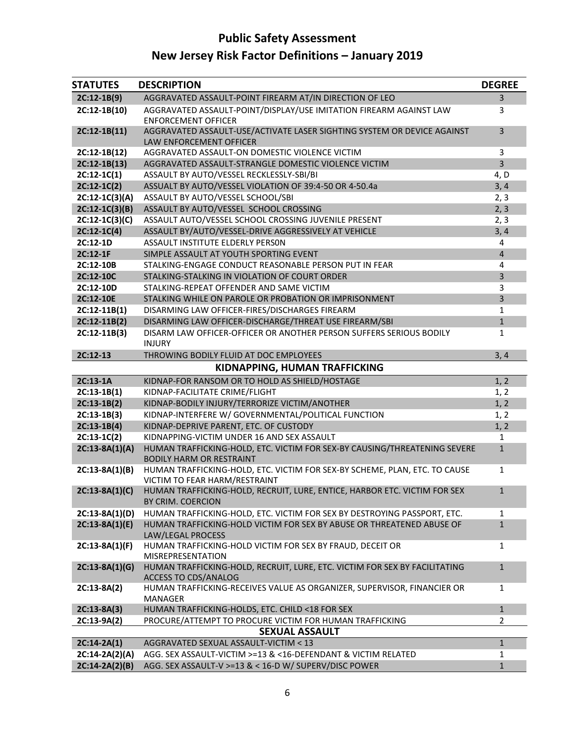# **Public Safety Assessment**

# **New Jersey Risk Factor Definitions – January 2019**

| <b>STATUTES</b>  | <b>DESCRIPTION</b>                                                                                           | <b>DEGREE</b>         |
|------------------|--------------------------------------------------------------------------------------------------------------|-----------------------|
| $2C:12-1B(9)$    | AGGRAVATED ASSAULT-POINT FIREARM AT/IN DIRECTION OF LEO                                                      | 3                     |
| 2C:12-1B(10)     | AGGRAVATED ASSAULT-POINT/DISPLAY/USE IMITATION FIREARM AGAINST LAW<br><b>ENFORCEMENT OFFICER</b>             | 3                     |
| $2C:12-1B(11)$   | AGGRAVATED ASSAULT-USE/ACTIVATE LASER SIGHTING SYSTEM OR DEVICE AGAINST<br>LAW ENFORCEMENT OFFICER           | 3                     |
| 2C:12-1B(12)     | AGGRAVATED ASSAULT-ON DOMESTIC VIOLENCE VICTIM                                                               | 3                     |
| $2C:12-1B(13)$   | AGGRAVATED ASSAULT-STRANGLE DOMESTIC VIOLENCE VICTIM                                                         | $\overline{3}$        |
| $2C:12-1C(1)$    | ASSAULT BY AUTO/VESSEL RECKLESSLY-SBI/BI                                                                     | 4, D                  |
| $2C:12-1C(2)$    | ASSUALT BY AUTO/VESSEL VIOLATION OF 39:4-50 OR 4-50.4a                                                       | 3, 4                  |
| 2C:12-1C(3)(A)   | ASSAULT BY AUTO/VESSEL SCHOOL/SBI                                                                            | 2, 3                  |
| $2C:12-1C(3)(B)$ | ASSAULT BY AUTO/VESSEL SCHOOL CROSSING                                                                       | 2, 3                  |
| $2C:12-1C(3)(C)$ | ASSAULT AUTO/VESSEL SCHOOL CROSSING JUVENILE PRESENT                                                         | 2, 3                  |
| $2C:12-1C(4)$    | ASSAULT BY/AUTO/VESSEL-DRIVE AGGRESSIVELY AT VEHICLE                                                         | 3, 4                  |
| 2C:12-1D         | ASSAULT INSTITUTE ELDERLY PERSON                                                                             | 4                     |
| 2C:12-1F         | SIMPLE ASSAULT AT YOUTH SPORTING EVENT                                                                       | $\overline{4}$        |
| 2C:12-10B        | STALKING-ENGAGE CONDUCT REASONABLE PERSON PUT IN FEAR                                                        | 4                     |
| 2C:12-10C        | STALKING-STALKING IN VIOLATION OF COURT ORDER                                                                | 3                     |
| 2C:12-10D        | STALKING-REPEAT OFFENDER AND SAME VICTIM                                                                     | 3                     |
| 2C:12-10E        | STALKING WHILE ON PAROLE OR PROBATION OR IMPRISONMENT                                                        | 3                     |
| $2C:12-11B(1)$   | DISARMING LAW OFFICER-FIRES/DISCHARGES FIREARM                                                               | 1                     |
| 2C:12-11B(2)     | DISARMING LAW OFFICER-DISCHARGE/THREAT USE FIREARM/SBI                                                       | $\mathbf{1}$          |
| 2C:12-11B(3)     | DISARM LAW OFFICER-OFFICER OR ANOTHER PERSON SUFFERS SERIOUS BODILY<br><b>INJURY</b>                         | $\mathbf{1}$          |
| 2C:12-13         | THROWING BODILY FLUID AT DOC EMPLOYEES                                                                       | 3, 4                  |
|                  | KIDNAPPING, HUMAN TRAFFICKING                                                                                |                       |
| 2C:13-1A         | KIDNAP-FOR RANSOM OR TO HOLD AS SHIELD/HOSTAGE                                                               | 1, 2                  |
| $2C:13-1B(1)$    | KIDNAP-FACILITATE CRIME/FLIGHT                                                                               | 1, 2                  |
| $2C:13-1B(2)$    | KIDNAP-BODILY INJURY/TERRORIZE VICTIM/ANOTHER                                                                | 1, 2                  |
| $2C:13-1B(3)$    | KIDNAP-INTERFERE W/ GOVERNMENTAL/POLITICAL FUNCTION                                                          | 1, 2                  |
| $2C:13-1B(4)$    | KIDNAP-DEPRIVE PARENT, ETC. OF CUSTODY                                                                       | 1, 2                  |
| $2C:13-1C(2)$    | KIDNAPPING-VICTIM UNDER 16 AND SEX ASSAULT                                                                   | $\mathbf{1}$          |
| $2C:13-8A(1)(A)$ | HUMAN TRAFFICKING-HOLD, ETC. VICTIM FOR SEX-BY CAUSING/THREATENING SEVERE<br><b>BODILY HARM OR RESTRAINT</b> | $\mathbf{1}$          |
| $2C:13-8A(1)(B)$ | HUMAN TRAFFICKING-HOLD, ETC. VICTIM FOR SEX-BY SCHEME, PLAN, ETC. TO CAUSE<br>VICTIM TO FEAR HARM/RESTRAINT  | 1                     |
| $2C:13-8A(1)(C)$ | HUMAN TRAFFICKING-HOLD, RECRUIT, LURE, ENTICE, HARBOR ETC. VICTIM FOR SEX<br>BY CRIM. COERCION               | $\mathbf{1}$          |
| 2C:13-8A(1)(D)   | HUMAN TRAFFICKING-HOLD, ETC. VICTIM FOR SEX BY DESTROYING PASSPORT, ETC.                                     | 1                     |
| $2C:13-8A(1)(E)$ | HUMAN TRAFFICKING-HOLD VICTIM FOR SEX BY ABUSE OR THREATENED ABUSE OF<br>LAW/LEGAL PROCESS                   | $\mathbf{1}$          |
| $2C:13-8A(1)(F)$ | HUMAN TRAFFICKING-HOLD VICTIM FOR SEX BY FRAUD, DECEIT OR<br>MISREPRESENTATION                               | 1                     |
| $2C:13-8A(1)(G)$ | HUMAN TRAFFICKING-HOLD, RECRUIT, LURE, ETC. VICTIM FOR SEX BY FACILITATING<br><b>ACCESS TO CDS/ANALOG</b>    | $\mathbf{1}$          |
| $2C:13-8A(2)$    | HUMAN TRAFFICKING-RECEIVES VALUE AS ORGANIZER, SUPERVISOR, FINANCIER OR<br>MANAGER                           | 1                     |
| $2C:13-8A(3)$    | HUMAN TRAFFICKING-HOLDS, ETC. CHILD <18 FOR SEX                                                              | $\mathbf{1}$          |
| 2C:13-9A(2)      | PROCURE/ATTEMPT TO PROCURE VICTIM FOR HUMAN TRAFFICKING                                                      | $\mathbf{2}^{\prime}$ |
|                  | <b>SEXUAL ASSAULT</b>                                                                                        |                       |
| $2C:14-2A(1)$    | AGGRAVATED SEXUAL ASSAULT-VICTIM < 13                                                                        | $\mathbf{1}$          |
| $2C:14-2A(2)(A)$ | AGG. SEX ASSAULT-VICTIM >=13 & <16-DEFENDANT & VICTIM RELATED                                                | 1                     |
| $2C:14-2A(2)(B)$ | AGG. SEX ASSAULT-V >=13 & < 16-D W/ SUPERV/DISC POWER                                                        | $\mathbf{1}$          |